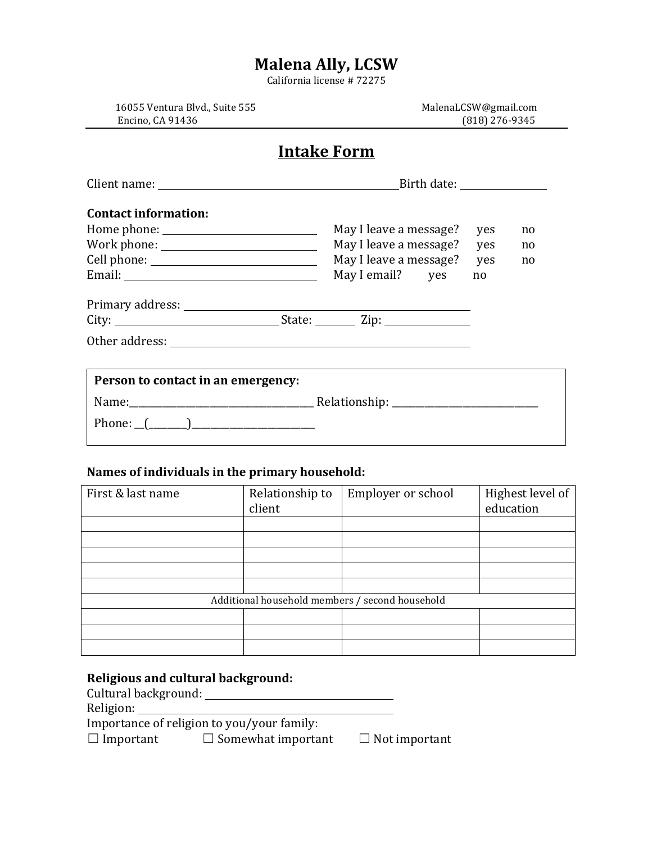# **Malena Ally, LCSW**

California license # 72275

Encino, CA 91436 (818) 276-9345

16055 Ventura Blvd., Suite 555 MalenaLCSW@gmail.com

### **Intake Form**

|                                                                                                                                                                                                                                                                                                                                                                                                                                                                                                                                                | Birth date: _________________                                                                  |                         |                |  |
|------------------------------------------------------------------------------------------------------------------------------------------------------------------------------------------------------------------------------------------------------------------------------------------------------------------------------------------------------------------------------------------------------------------------------------------------------------------------------------------------------------------------------------------------|------------------------------------------------------------------------------------------------|-------------------------|----------------|--|
| <b>Contact information:</b><br>$\text{Work phone:}\underline{\hspace{2.5cm}}\textcolor{red}{\vphantom{\qquad}\textbf{Work phone:}\qquad \textcolor{blue}{\textbf{New}~\textbf{other}~\textbf{other}~\textbf{other}~\textbf{other}~\textbf{other}~\textbf{other}~\textbf{other}~\textbf{other}~\textbf{other}~\textbf{other}~\textbf{other}~\textbf{other}~\textbf{other}~\textbf{other}~\textbf{other}~\textbf{other}~\textbf{other}~\textbf{other}~\textbf{other}~\textbf{other}~\textbf{other}~\textbf{other}~\textbf{other}~\textbf{other}$ | May I leave a message?<br>May I leave a message?<br>May I leave a message?<br>May I email? yes | yes<br>yes<br>yes<br>no | no<br>no<br>no |  |
|                                                                                                                                                                                                                                                                                                                                                                                                                                                                                                                                                |                                                                                                |                         |                |  |
| Person to contact in an emergency:                                                                                                                                                                                                                                                                                                                                                                                                                                                                                                             |                                                                                                |                         |                |  |

### Names of individuals in the primary household:

| First & last name                               | Relationship to<br>client | Employer or school | Highest level of<br>education |  |  |
|-------------------------------------------------|---------------------------|--------------------|-------------------------------|--|--|
|                                                 |                           |                    |                               |  |  |
|                                                 |                           |                    |                               |  |  |
|                                                 |                           |                    |                               |  |  |
|                                                 |                           |                    |                               |  |  |
|                                                 |                           |                    |                               |  |  |
| Additional household members / second household |                           |                    |                               |  |  |
|                                                 |                           |                    |                               |  |  |
|                                                 |                           |                    |                               |  |  |
|                                                 |                           |                    |                               |  |  |

## **Religious and cultural background:**

Cultural background: 

Religion: 

Importance of religion to you/your family:

☐ Important ☐ Somewhat important ☐ Not important